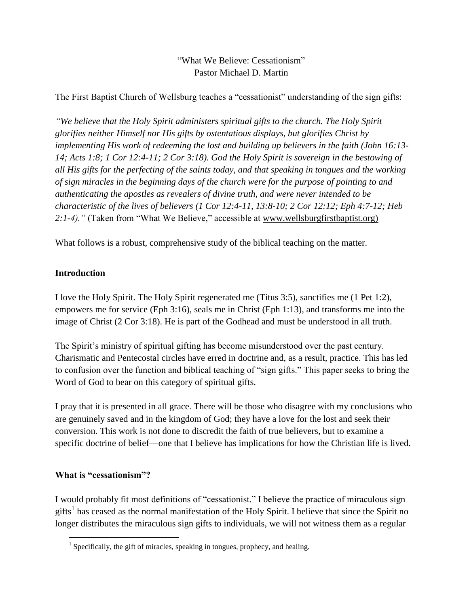# "What We Believe: Cessationism" Pastor Michael D. Martin

The First Baptist Church of Wellsburg teaches a "cessationist" understanding of the sign gifts:

*"We believe that the Holy Spirit administers spiritual gifts to the church. The Holy Spirit glorifies neither Himself nor His gifts by ostentatious displays, but glorifies Christ by implementing His work of redeeming the lost and building up believers in the faith (John 16:13- 14; Acts 1:8; 1 Cor 12:4-11; 2 Cor 3:18). God the Holy Spirit is sovereign in the bestowing of all His gifts for the perfecting of the saints today, and that speaking in tongues and the working of sign miracles in the beginning days of the church were for the purpose of pointing to and authenticating the apostles as revealers of divine truth, and were never intended to be characteristic of the lives of believers (1 Cor 12:4-11, 13:8-10; 2 Cor 12:12; Eph 4:7-12; Heb 2:1-4)."* (Taken from "What We Believe," accessible at [www.wellsburgfirstbaptist.org\)](http://www.wellsburgfirstbaptist.org/)

What follows is a robust, comprehensive study of the biblical teaching on the matter.

## **Introduction**

I love the Holy Spirit. The Holy Spirit regenerated me (Titus 3:5), sanctifies me (1 Pet 1:2), empowers me for service (Eph 3:16), seals me in Christ (Eph 1:13), and transforms me into the image of Christ (2 Cor 3:18). He is part of the Godhead and must be understood in all truth.

The Spirit's ministry of spiritual gifting has become misunderstood over the past century. Charismatic and Pentecostal circles have erred in doctrine and, as a result, practice. This has led to confusion over the function and biblical teaching of "sign gifts." This paper seeks to bring the Word of God to bear on this category of spiritual gifts.

I pray that it is presented in all grace. There will be those who disagree with my conclusions who are genuinely saved and in the kingdom of God; they have a love for the lost and seek their conversion. This work is not done to discredit the faith of true believers, but to examine a specific doctrine of belief—one that I believe has implications for how the Christian life is lived.

### **What is "cessationism"?**

I would probably fit most definitions of "cessationist." I believe the practice of miraculous sign gifts<sup>1</sup> has ceased as the normal manifestation of the Holy Spirit. I believe that since the Spirit no longer distributes the miraculous sign gifts to individuals, we will not witness them as a regular

 1 Specifically, the gift of miracles, speaking in tongues, prophecy, and healing.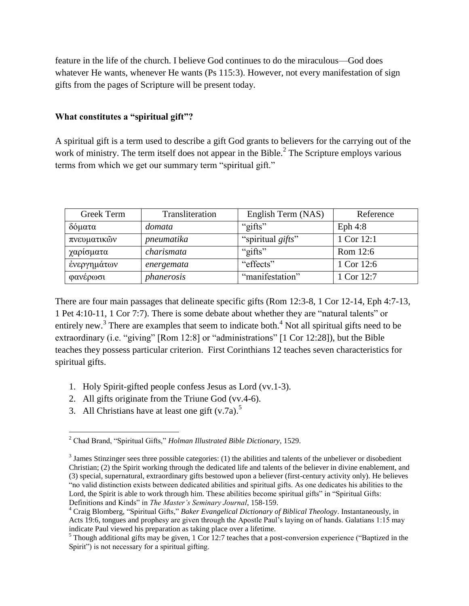feature in the life of the church. I believe God continues to do the miraculous—God does whatever He wants, whenever He wants (Ps 115:3). However, not every manifestation of sign gifts from the pages of Scripture will be present today.

#### **What constitutes a "spiritual gift"?**

A spiritual gift is a term used to describe a gift God grants to believers for the carrying out of the work of ministry. The term itself does not appear in the Bible. $<sup>2</sup>$  The Scripture employs various</sup> terms from which we get our summary term "spiritual gift."

| Greek Term  | Transliteration | English Term (NAS) | Reference  |
|-------------|-----------------|--------------------|------------|
| δόματα      | domata          | "gifts"            | Eph $4:8$  |
| πνευματικών | pneumatika      | "spiritual gifts"  | 1 Cor 12:1 |
| χαρίσματα   | charismata      | "gifts"            | Rom 12:6   |
| ένεργημάτων | energemata      | "effects"          | 1 Cor 12:6 |
| φανέρωσι    | phanerosis      | "manifestation"    | 1 Cor 12:7 |

There are four main passages that delineate specific gifts (Rom 12:3-8, 1 Cor 12-14, Eph 4:7-13, 1 Pet 4:10-11, 1 Cor 7:7). There is some debate about whether they are "natural talents" or entirely new.<sup>3</sup> There are examples that seem to indicate both.<sup>4</sup> Not all spiritual gifts need to be extraordinary (i.e. "giving" [Rom 12:8] or "administrations" [1 Cor 12:28]), but the Bible teaches they possess particular criterion. First Corinthians 12 teaches seven characteristics for spiritual gifts.

- 1. Holy Spirit-gifted people confess Jesus as Lord (vv.1-3).
- 2. All gifts originate from the Triune God (vv.4-6).
- 3. All Christians have at least one gift  $(v.7a)$ .<sup>5</sup>

<sup>2</sup> Chad Brand, "Spiritual Gifts," *Holman Illustrated Bible Dictionary*, 1529.

 $3$  James Stinzinger sees three possible categories: (1) the abilities and talents of the unbeliever or disobedient Christian; (2) the Spirit working through the dedicated life and talents of the believer in divine enablement, and (3) special, supernatural, extraordinary gifts bestowed upon a believer (first-century activity only). He believes "no valid distinction exists between dedicated abilities and spiritual gifts. As one dedicates his abilities to the Lord, the Spirit is able to work through him. These abilities become spiritual gifts" in "Spiritual Gifts: Definitions and Kinds" in *The Master's Seminary Journal*, 158-159.

<sup>4</sup> Craig Blomberg, "Spiritual Gifts," *Baker Evangelical Dictionary of Biblical Theology*. Instantaneously, in Acts 19:6, tongues and prophesy are given through the Apostle Paul's laying on of hands. Galatians 1:15 may indicate Paul viewed his preparation as taking place over a lifetime.

<sup>&</sup>lt;sup>5</sup> Though additional gifts may be given, 1 Cor 12:7 teaches that a post-conversion experience ("Baptized in the Spirit") is not necessary for a spiritual gifting.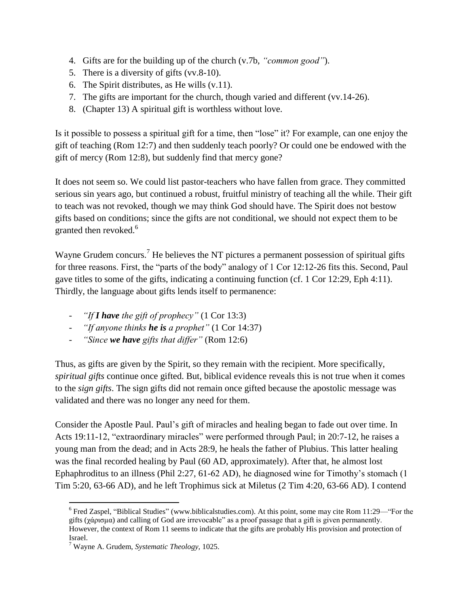- 4. Gifts are for the building up of the church (v.7b, *"common good"*).
- 5. There is a diversity of gifts (vv.8-10).
- 6. The Spirit distributes, as He wills (v.11).
- 7. The gifts are important for the church, though varied and different (vv.14-26).
- 8. (Chapter 13) A spiritual gift is worthless without love.

Is it possible to possess a spiritual gift for a time, then "lose" it? For example, can one enjoy the gift of teaching (Rom 12:7) and then suddenly teach poorly? Or could one be endowed with the gift of mercy (Rom 12:8), but suddenly find that mercy gone?

It does not seem so. We could list pastor-teachers who have fallen from grace. They committed serious sin years ago, but continued a robust, fruitful ministry of teaching all the while. Their gift to teach was not revoked, though we may think God should have. The Spirit does not bestow gifts based on conditions; since the gifts are not conditional, we should not expect them to be granted then revoked.<sup>6</sup>

Wayne Grudem concurs.<sup>7</sup> He believes the NT pictures a permanent possession of spiritual gifts for three reasons. First, the "parts of the body" analogy of 1 Cor 12:12-26 fits this. Second, Paul gave titles to some of the gifts, indicating a continuing function (cf. 1 Cor 12:29, Eph 4:11). Thirdly, the language about gifts lends itself to permanence:

- *"If I have the gift of prophecy"* (1 Cor 13:3)
- *"If anyone thinks he is a prophet"* (1 Cor 14:37)
- *"Since we have gifts that differ"* (Rom 12:6)

Thus, as gifts are given by the Spirit, so they remain with the recipient. More specifically, *spiritual gifts* continue once gifted. But, biblical evidence reveals this is not true when it comes to the *sign gifts*. The sign gifts did not remain once gifted because the apostolic message was validated and there was no longer any need for them.

Consider the Apostle Paul. Paul's gift of miracles and healing began to fade out over time. In Acts 19:11-12, "extraordinary miracles" were performed through Paul; in 20:7-12, he raises a young man from the dead; and in Acts 28:9, he heals the father of Plubius. This latter healing was the final recorded healing by Paul (60 AD, approximately). After that, he almost lost Ephaphroditus to an illness (Phil 2:27, 61-62 AD), he diagnosed wine for Timothy's stomach (1 Tim 5:20, 63-66 AD), and he left Trophimus sick at Miletus (2 Tim 4:20, 63-66 AD). I contend

<sup>&</sup>lt;sup>6</sup> Fred Zaspel, "Biblical Studies" [\(www.biblicalstudies.com\)](http://www.biblicalstudies.com/). At this point, some may cite Rom 11:29—"For the gifts ( $\gamma\alpha\rho\sigma\alpha\rho\alpha$ ) and calling of God are irrevocable" as a proof passage that a gift is given permanently. However, the context of Rom 11 seems to indicate that the gifts are probably His provision and protection of Israel.

<sup>7</sup> Wayne A. Grudem, *Systematic Theology,* 1025.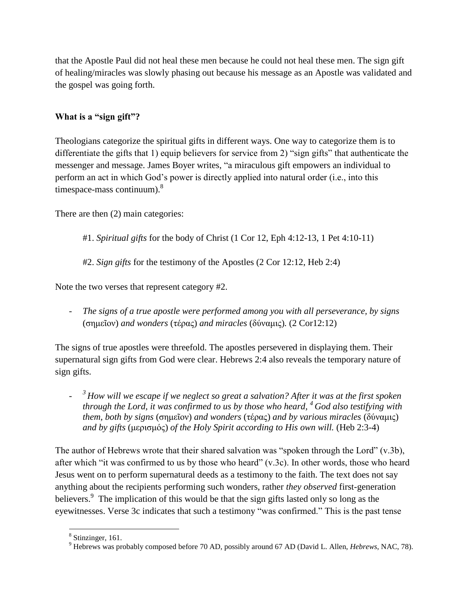that the Apostle Paul did not heal these men because he could not heal these men. The sign gift of healing/miracles was slowly phasing out because his message as an Apostle was validated and the gospel was going forth.

## **What is a "sign gift"?**

Theologians categorize the spiritual gifts in different ways. One way to categorize them is to differentiate the gifts that 1) equip believers for service from 2) "sign gifts" that authenticate the messenger and message. James Boyer writes, "a miraculous gift empowers an individual to perform an act in which God's power is directly applied into natural order (i.e., into this timespace-mass continuum). $8$ 

There are then (2) main categories:

- #1. *Spiritual gifts* for the body of Christ (1 Cor 12, Eph 4:12-13, 1 Pet 4:10-11)
- #2. *Sign gifts* for the testimony of the Apostles (2 Cor 12:12, Heb 2:4)

Note the two verses that represent category #2.

The signs of a true apostle were performed among you with all perseverance, by signs (σημεῖον) *and wonders* (τέρας) *and miracles* (δύναμις)*.* (2 Cor12:12)

The signs of true apostles were threefold. The apostles persevered in displaying them. Their supernatural sign gifts from God were clear. Hebrews 2:4 also reveals the temporary nature of sign gifts.

- *<sup>3</sup> How will we escape if we neglect so great a salvation? After it was at the first spoken through the Lord, it was confirmed to us by those who heard, <sup>4</sup> God also testifying with them, both by signs* (σημεῖον) *and wonders* (τέρας) *and by various miracles* (δύναμις) *and by gifts* (μερισμός) *of the Holy Spirit according to His own will.* (Heb 2:3-4)

The author of Hebrews wrote that their shared salvation was "spoken through the Lord" (v.3b), after which "it was confirmed to us by those who heard" (v.3c). In other words, those who heard Jesus went on to perform supernatural deeds as a testimony to the faith. The text does not say anything about the recipients performing such wonders, rather *they observed* first-generation believers.<sup>9</sup> The implication of this would be that the sign gifts lasted only so long as the eyewitnesses. Verse 3c indicates that such a testimony "was confirmed." This is the past tense

 $\overline{a}$ <sup>8</sup> Stinzinger, 161.

<sup>9</sup> Hebrews was probably composed before 70 AD, possibly around 67 AD (David L. Allen, *Hebrews*, NAC, 78).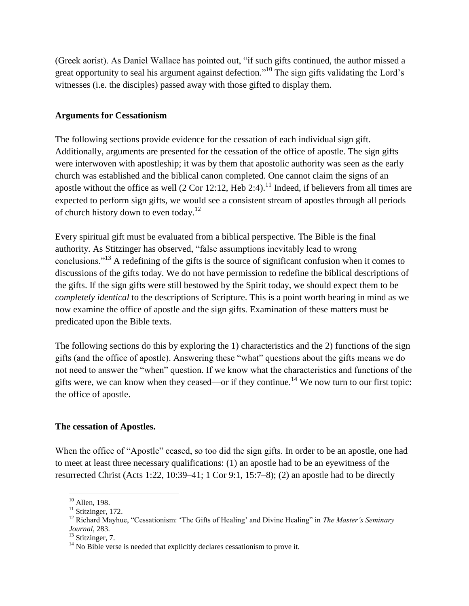(Greek aorist). As Daniel Wallace has pointed out, "if such gifts continued, the author missed a great opportunity to seal his argument against defection."<sup>10</sup> The sign gifts validating the Lord's witnesses (i.e. the disciples) passed away with those gifted to display them.

#### **Arguments for Cessationism**

The following sections provide evidence for the cessation of each individual sign gift. Additionally, arguments are presented for the cessation of the office of apostle. The sign gifts were interwoven with apostleship; it was by them that apostolic authority was seen as the early church was established and the biblical canon completed. One cannot claim the signs of an apostle without the office as well  $(2 \text{ Cor } 12:12, \text{Heb } 2:4).$ <sup>11</sup> Indeed, if believers from all times are expected to perform sign gifts, we would see a consistent stream of apostles through all periods of church history down to even today.<sup>12</sup>

Every spiritual gift must be evaluated from a biblical perspective. The Bible is the final authority. As Stitzinger has observed, "false assumptions inevitably lead to wrong conclusions."<sup>13</sup> A redefining of the gifts is the source of significant confusion when it comes to discussions of the gifts today. We do not have permission to redefine the biblical descriptions of the gifts. If the sign gifts were still bestowed by the Spirit today, we should expect them to be *completely identical* to the descriptions of Scripture. This is a point worth bearing in mind as we now examine the office of apostle and the sign gifts. Examination of these matters must be predicated upon the Bible texts.

The following sections do this by exploring the 1) characteristics and the 2) functions of the sign gifts (and the office of apostle). Answering these "what" questions about the gifts means we do not need to answer the "when" question. If we know what the characteristics and functions of the gifts were, we can know when they ceased—or if they continue.<sup>14</sup> We now turn to our first topic: the office of apostle.

### **The cessation of Apostles.**

When the office of "Apostle" ceased, so too did the sign gifts. In order to be an apostle, one had to meet at least three necessary qualifications: (1) an apostle had to be an eyewitness of the resurrected Christ (Acts 1:22, 10:39–41; 1 Cor 9:1, 15:7–8); (2) an apostle had to be directly

 $10$  Allen, 198.

 $11$  Stitzinger, 172.

<sup>12</sup> Richard Mayhue, "Cessationism: 'The Gifts of Healing' and Divine Healing" in *The Master's Seminary Journal*, 283.

 $13$  Stitzinger, 7.

 $14$  No Bible verse is needed that explicitly declares cessationism to prove it.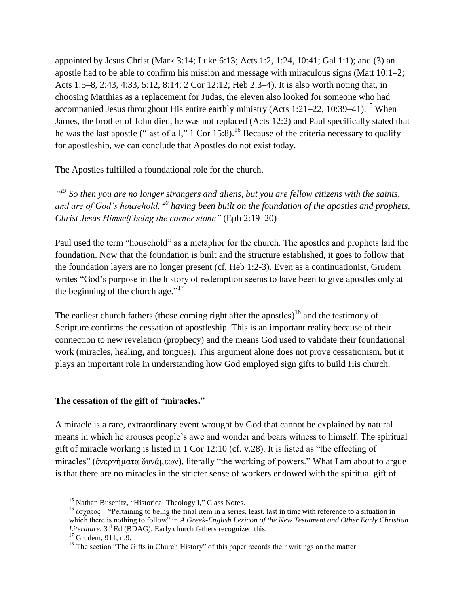appointed by Jesus Christ (Mark 3:14; Luke 6:13; Acts 1:2, 1:24, 10:41; Gal 1:1); and (3) an apostle had to be able to confirm his mission and message with miraculous signs (Matt 10:1–2; Acts 1:5–8, 2:43, 4:33, 5:12, 8:14; 2 Cor 12:12; Heb 2:3–4). It is also worth noting that, in choosing Matthias as a replacement for Judas, the eleven also looked for someone who had accompanied Jesus throughout His entire earthly ministry (Acts 1:21–22, 10:39–41).<sup>15</sup> When James, the brother of John died, he was not replaced (Acts 12:2) and Paul specifically stated that he was the last apostle ("last of all,"  $1 \text{ Cor } 15:8$ ).<sup>16</sup> Because of the criteria necessary to qualify for apostleship, we can conclude that Apostles do not exist today.

The Apostles fulfilled a foundational role for the church.

*" <sup>19</sup> So then you are no longer strangers and aliens, but you are fellow citizens with the saints, and are of God's household, <sup>20</sup> having been built on the foundation of the apostles and prophets, Christ Jesus Himself being the corner stone"* (Eph 2:19–20)

Paul used the term "household" as a metaphor for the church. The apostles and prophets laid the foundation. Now that the foundation is built and the structure established, it goes to follow that the foundation layers are no longer present (cf. Heb 1:2-3). Even as a continuationist, Grudem writes "God's purpose in the history of redemption seems to have been to give apostles only at the beginning of the church age." $17$ 

The earliest church fathers (those coming right after the apostles)<sup>18</sup> and the testimony of Scripture confirms the cessation of apostleship. This is an important reality because of their connection to new revelation (prophecy) and the means God used to validate their foundational work (miracles, healing, and tongues). This argument alone does not prove cessationism, but it plays an important role in understanding how God employed sign gifts to build His church.

### **The cessation of the gift of "miracles."**

A miracle is a rare, extraordinary event wrought by God that cannot be explained by natural means in which he arouses people's awe and wonder and bears witness to himself. The spiritual gift of miracle working is listed in 1 Cor 12:10 (cf. v.28). It is listed as "the effecting of miracles" (ἐνεργήματα δυνάμεων), literally "the working of powers." What I am about to argue is that there are no miracles in the stricter sense of workers endowed with the spiritual gift of

 $\overline{a}$ <sup>15</sup> Nathan Busenitz, "Historical Theology I," Class Notes.

<sup>&</sup>lt;sup>16</sup> ἔσγατος – "Pertaining to being the final item in a series, least, last in time with reference to a situation in which there is nothing to follow" in *A Greek-English Lexicon of the New Testament and Other Early Christian Literature*, 3rd Ed (BDAG). Early church fathers recognized this.

 $17$  Grudem, 911, n.9.

 $<sup>18</sup>$  The section "The Gifts in Church History" of this paper records their writings on the matter.</sup>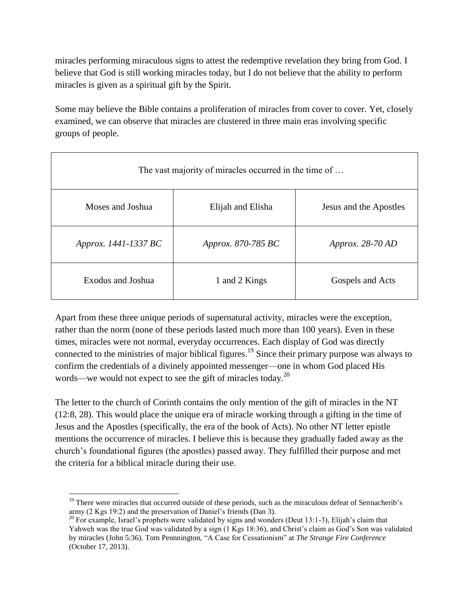miracles performing miraculous signs to attest the redemptive revelation they bring from God. I believe that God is still working miracles today, but I do not believe that the ability to perform miracles is given as a spiritual gift by the Spirit.

Some may believe the Bible contains a proliferation of miracles from cover to cover. Yet, closely examined, we can observe that miracles are clustered in three main eras involving specific groups of people.

| The vast majority of miracles occurred in the time of |                           |                        |  |  |
|-------------------------------------------------------|---------------------------|------------------------|--|--|
| Moses and Joshua                                      | Elijah and Elisha         | Jesus and the Apostles |  |  |
| Approx. 1441-1337 BC                                  | <i>Approx.</i> 870-785 BC | Approx. $28-70$ AD     |  |  |
| Exodus and Joshua                                     | 1 and 2 Kings             | Gospels and Acts       |  |  |

Apart from these three unique periods of supernatural activity, miracles were the exception, rather than the norm (none of these periods lasted much more than 100 years). Even in these times, miracles were not normal, everyday occurrences. Each display of God was directly connected to the ministries of major biblical figures.<sup>19</sup> Since their primary purpose was always to confirm the credentials of a divinely appointed messenger—one in whom God placed His words—we would not expect to see the gift of miracles today.<sup>20</sup>

The letter to the church of Corinth contains the only mention of the gift of miracles in the NT (12:8, 28). This would place the unique era of miracle working through a gifting in the time of Jesus and the Apostles (specifically, the era of the book of Acts). No other NT letter epistle mentions the occurrence of miracles. I believe this is because they gradually faded away as the church's foundational figures (the apostles) passed away. They fulfilled their purpose and met the criteria for a biblical miracle during their use.

 $\overline{a}$ <sup>19</sup> There were miracles that occurred outside of these periods, such as the miraculous defeat of Sennacherib's army (2 Kgs 19:2) and the preservation of Daniel's friends (Dan 3).

<sup>&</sup>lt;sup>20</sup> For example, Israel's prophets were validated by signs and wonders (Deut 13:1-3), Elijah's claim that Yahweh was the true God was validated by a sign (1 Kgs 18:36), and Christ's claim as God's Son was validated by miracles (John 5:36). Tom Pennnington, "A Case for Cessationism" at *The Strange Fire Conference* (October 17, 2013).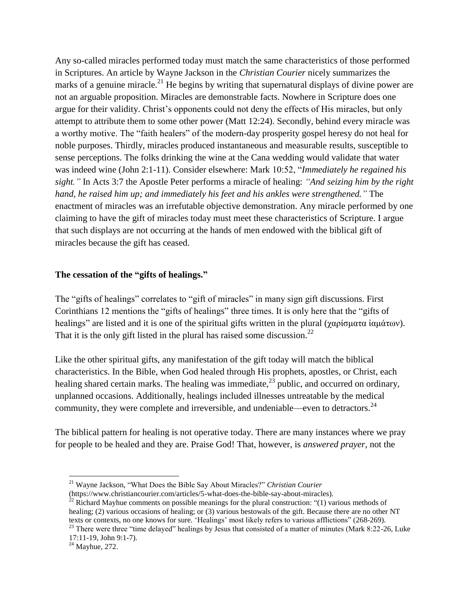Any so-called miracles performed today must match the same characteristics of those performed in Scriptures. An article by Wayne Jackson in the *Christian Courier* nicely summarizes the marks of a genuine miracle.<sup>21</sup> He begins by writing that supernatural displays of divine power are not an arguable proposition. Miracles are demonstrable facts. Nowhere in Scripture does one argue for their validity. Christ's opponents could not deny the effects of His miracles, but only attempt to attribute them to some other power (Matt 12:24). Secondly, behind every miracle was a worthy motive. The "faith healers" of the modern-day prosperity gospel heresy do not heal for noble purposes. Thirdly, miracles produced instantaneous and measurable results, susceptible to sense perceptions. The folks drinking the wine at the Cana wedding would validate that water was indeed wine (John 2:1-11). Consider elsewhere: Mark 10:52, "*Immediately he regained his sight."* In Acts 3:7 the Apostle Peter performs a miracle of healing: *"And seizing him by the right hand, he raised him up; and immediately his feet and his ankles were strengthened."* The enactment of miracles was an irrefutable objective demonstration. Any miracle performed by one claiming to have the gift of miracles today must meet these characteristics of Scripture. I argue that such displays are not occurring at the hands of men endowed with the biblical gift of miracles because the gift has ceased.

#### **The cessation of the "gifts of healings."**

The "gifts of healings" correlates to "gift of miracles" in many sign gift discussions. First Corinthians 12 mentions the "gifts of healings" three times. It is only here that the "gifts of healings" are listed and it is one of the spiritual gifts written in the plural (χαρίσματα ἰαμάτων). That it is the only gift listed in the plural has raised some discussion.<sup>22</sup>

Like the other spiritual gifts, any manifestation of the gift today will match the biblical characteristics. In the Bible, when God healed through His prophets, apostles, or Christ, each healing shared certain marks. The healing was immediate,  $^{23}$  public, and occurred on ordinary, unplanned occasions. Additionally, healings included illnesses untreatable by the medical community, they were complete and irreversible, and undeniable—even to detractors.<sup>24</sup>

The biblical pattern for healing is not operative today. There are many instances where we pray for people to be healed and they are. Praise God! That, however, is *answered prayer*, not the

 $\overline{a}$ <sup>21</sup> Wayne Jackson, "What Does the Bible Say About Miracles?" *Christian Courier*

<sup>(</sup>https://www.christiancourier.com/articles/5-what-does-the-bible-say-about-miracles).

 $^{22}$  Richard Mayhue comments on possible meanings for the plural construction: "(1) various methods of healing; (2) various occasions of healing; or (3) various bestowals of the gift. Because there are no other NT texts or contexts, no one knows for sure. 'Healings' most likely refers to various afflictions" (268-269).

<sup>&</sup>lt;sup>23</sup> There were three "time delayed" healings by Jesus that consisted of a matter of minutes (Mark 8:22-26, Luke 17:11-19, John 9:1-7).

 $24$  Mayhue, 272.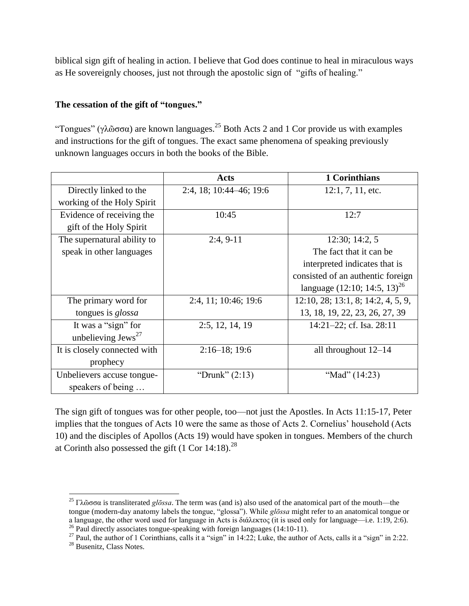biblical sign gift of healing in action. I believe that God does continue to heal in miraculous ways as He sovereignly chooses, just not through the apostolic sign of "gifts of healing."

### **The cessation of the gift of "tongues."**

"Tongues" (γλῶσσα) are known languages.<sup>25</sup> Both Acts 2 and 1 Cor provide us with examples and instructions for the gift of tongues. The exact same phenomena of speaking previously unknown languages occurs in both the books of the Bible.

|                                | Acts                    | 1 Corinthians                      |
|--------------------------------|-------------------------|------------------------------------|
| Directly linked to the         | 2:4, 18; 10:44–46; 19:6 | $12:1, 7, 11,$ etc.                |
| working of the Holy Spirit     |                         |                                    |
| Evidence of receiving the      | 10:45                   | 12:7                               |
| gift of the Holy Spirit        |                         |                                    |
| The supernatural ability to    | $2:4, 9-11$             | 12:30; 14:2, 5                     |
| speak in other languages       |                         | The fact that it can be.           |
|                                |                         | interpreted indicates that is      |
|                                |                         | consisted of an authentic foreign  |
|                                |                         | language $(12:10; 14:5, 13)^{26}$  |
| The primary word for           | 2:4, 11; 10:46; 19:6    | 12:10, 28; 13:1, 8; 14:2, 4, 5, 9, |
| tongues is <i>glossa</i>       |                         | 13, 18, 19, 22, 23, 26, 27, 39     |
| It was a "sign" for            | 2:5, 12, 14, 19         | 14:21-22; cf. Isa. 28:11           |
| unbelieving Jews <sup>27</sup> |                         |                                    |
| It is closely connected with   | $2:16-18$ ; 19:6        | all throughout $12-14$             |
| prophecy                       |                         |                                    |
| Unbelievers accuse tongue-     | "Drunk" $(2:13)$        | "Mad" (14:23)                      |
| speakers of being              |                         |                                    |

The sign gift of tongues was for other people, too—not just the Apostles. In Acts 11:15-17, Peter implies that the tongues of Acts 10 were the same as those of Acts 2. Cornelius' household (Acts 10) and the disciples of Apollos (Acts 19) would have spoken in tongues. Members of the church at Corinth also possessed the gift  $(1$  Cor  $14:18)$ .<sup>28</sup>

<sup>25</sup> Γλῶσσα is transliterated *glōssa*. The term was (and is) also used of the anatomical part of the mouth—the tongue (modern-day anatomy labels the tongue, "glossa"). While *glōssa* might refer to an anatomical tongue or a language, the other word used for language in Acts is διάλεκτος (it is used only for language—i.e. 1:19, 2:6).

 $^{26}$  Paul directly associates tongue-speaking with foreign languages (14:10-11).

<sup>&</sup>lt;sup>27</sup> Paul, the author of 1 Corinthians, calls it a "sign" in 14:22; Luke, the author of Acts, calls it a "sign" in 2:22. <sup>28</sup> Busenitz, Class Notes.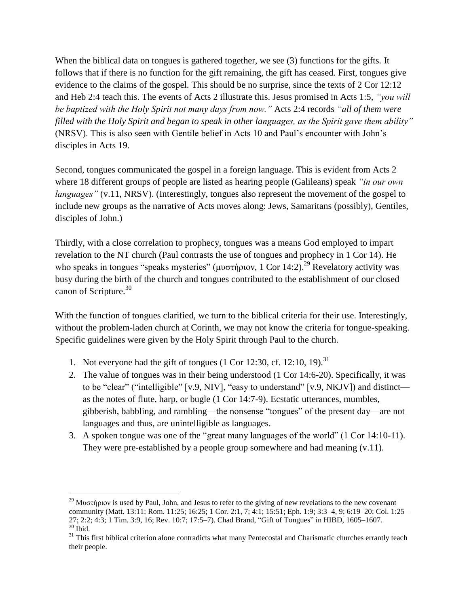When the biblical data on tongues is gathered together, we see (3) functions for the gifts. It follows that if there is no function for the gift remaining, the gift has ceased. First, tongues give evidence to the claims of the gospel. This should be no surprise, since the texts of 2 Cor 12:12 and Heb 2:4 teach this. The events of Acts 2 illustrate this. Jesus promised in Acts 1:5, *"you will be baptized with the Holy Spirit not many days from now."* Acts 2:4 records *"all of them were filled with the Holy Spirit and began to speak in other languages, as the Spirit gave them ability"*  (NRSV). This is also seen with Gentile belief in Acts 10 and Paul's encounter with John's disciples in Acts 19.

Second, tongues communicated the gospel in a foreign language. This is evident from Acts 2 where 18 different groups of people are listed as hearing people (Galileans) speak *"in our own languages"* (v.11, NRSV). (Interestingly, tongues also represent the movement of the gospel to include new groups as the narrative of Acts moves along: Jews, Samaritans (possibly), Gentiles, disciples of John.)

Thirdly, with a close correlation to prophecy, tongues was a means God employed to impart revelation to the NT church (Paul contrasts the use of tongues and prophecy in 1 Cor 14). He who speaks in tongues "speaks mysteries" (μυστήριον, 1 Cor 14:2).<sup>29</sup> Revelatory activity was busy during the birth of the church and tongues contributed to the establishment of our closed canon of Scripture. 30

With the function of tongues clarified, we turn to the biblical criteria for their use. Interestingly, without the problem-laden church at Corinth, we may not know the criteria for tongue-speaking. Specific guidelines were given by the Holy Spirit through Paul to the church.

1. Not everyone had the gift of tongues  $(1 \text{ Cor } 12:30, \text{ cf. } 12:10, 19).$ <sup>31</sup>

- 2. The value of tongues was in their being understood (1 Cor 14:6-20). Specifically, it was to be "clear" ("intelligible" [v.9, NIV], "easy to understand" [v.9, NKJV]) and distinct as the notes of flute, harp, or bugle (1 Cor 14:7-9). Ecstatic utterances, mumbles, gibberish, babbling, and rambling—the nonsense "tongues" of the present day—are not languages and thus, are unintelligible as languages.
- 3. A spoken tongue was one of the "great many languages of the world" (1 Cor 14:10-11). They were pre-established by a people group somewhere and had meaning (v.11).

<sup>&</sup>lt;sup>29</sup> Μυστήριον is used by Paul, John, and Jesus to refer to the giving of new revelations to the new covenant community (Matt. 13:11; Rom. 11:25; 16:25; 1 Cor. 2:1, 7; 4:1; 15:51; Eph. 1:9; 3:3–4, 9; 6:19–20; Col. 1:25– 27; 2:2; 4:3; 1 Tim. 3:9, 16; Rev. 10:7; 17:5–7). Chad Brand, "Gift of Tongues" in HIBD, 1605–1607.  $^{30}$  Ibid.

<sup>&</sup>lt;sup>31</sup> This first biblical criterion alone contradicts what many Pentecostal and Charismatic churches errantly teach their people.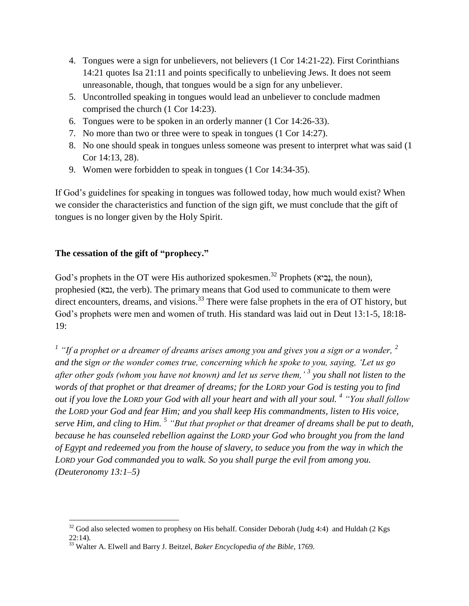- 4. Tongues were a sign for unbelievers, not believers (1 Cor 14:21-22). First Corinthians 14:21 quotes Isa 21:11 and points specifically to unbelieving Jews. It does not seem unreasonable, though, that tongues would be a sign for any unbeliever.
- 5. Uncontrolled speaking in tongues would lead an unbeliever to conclude madmen comprised the church (1 Cor 14:23).
- 6. Tongues were to be spoken in an orderly manner (1 Cor 14:26-33).
- 7. No more than two or three were to speak in tongues (1 Cor 14:27).
- 8. No one should speak in tongues unless someone was present to interpret what was said (1 Cor 14:13, 28).
- 9. Women were forbidden to speak in tongues (1 Cor 14:34-35).

If God's guidelines for speaking in tongues was followed today, how much would exist? When we consider the characteristics and function of the sign gift, we must conclude that the gift of tongues is no longer given by the Holy Spirit.

## **The cessation of the gift of "prophecy."**

God's prophets in the OT were His authorized spokesmen.<sup>32</sup> Prophets (גַּבִיא), the noun), prophesied (נבא, the verb). The primary means that God used to communicate to them were direct encounters, dreams, and visions.<sup>33</sup> There were false prophets in the era of OT history, but God's prophets were men and women of truth. His standard was laid out in Deut 13:1-5, 18:18- 19:

<sup>1</sup> "If a prophet or a dreamer of dreams arises among you and gives you a sign or a wonder, <sup>2</sup> *and the sign or the wonder comes true, concerning which he spoke to you, saying, 'Let us go after other gods (whom you have not known) and let us serve them,' <sup>3</sup> you shall not listen to the words of that prophet or that dreamer of dreams; for the LORD your God is testing you to find out if you love the LORD your God with all your heart and with all your soul. <sup>4</sup> "You shall follow the LORD your God and fear Him; and you shall keep His commandments, listen to His voice, serve Him, and cling to Him. <sup>5</sup> "But that prophet or that dreamer of dreams shall be put to death, because he has counseled rebellion against the LORD your God who brought you from the land of Egypt and redeemed you from the house of slavery, to seduce you from the way in which the LORD your God commanded you to walk. So you shall purge the evil from among you. (Deuteronomy 13:1–5)*

 $\overline{a}$  $32$  God also selected women to prophesy on His behalf. Consider Deborah (Judg 4:4) and Huldah (2 Kgs  $22:14$ ).

<sup>33</sup> Walter A. Elwell and Barry J. Beitzel, *Baker Encyclopedia of the Bible*, 1769.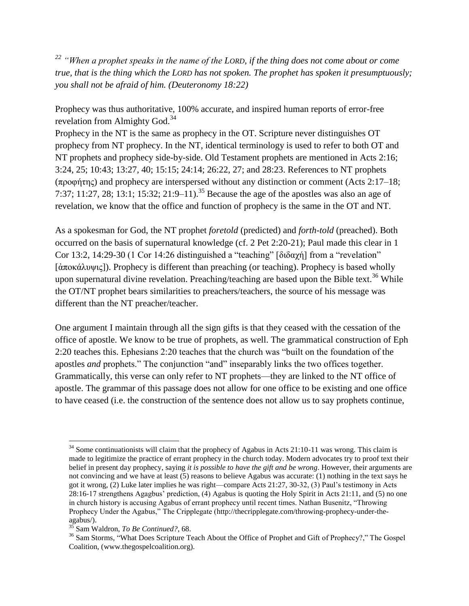*<sup>22</sup> "When a prophet speaks in the name of the LORD, if the thing does not come about or come true, that is the thing which the LORD has not spoken. The prophet has spoken it presumptuously; you shall not be afraid of him. (Deuteronomy 18:22)*

Prophecy was thus authoritative, 100% accurate, and inspired human reports of error-free revelation from Almighty God.<sup>34</sup>

Prophecy in the NT is the same as prophecy in the OT. Scripture never distinguishes OT prophecy from NT prophecy. In the NT, identical terminology is used to refer to both OT and NT prophets and prophecy side-by-side. Old Testament prophets are mentioned in Acts 2:16; 3:24, 25; 10:43; 13:27, 40; 15:15; 24:14; 26:22, 27; and 28:23. References to NT prophets (προφήτης) and prophecy are interspersed without any distinction or comment (Acts 2:17–18; 7:37; 11:27, 28; 13:1; 15:32; 21:9–11).<sup>35</sup> Because the age of the apostles was also an age of revelation, we know that the office and function of prophecy is the same in the OT and NT.

As a spokesman for God, the NT prophet *foretold* (predicted) and *forth-told* (preached). Both occurred on the basis of supernatural knowledge (cf. 2 Pet 2:20-21); Paul made this clear in 1 Cor 13:2, 14:29-30 (1 Cor 14:26 distinguished a "teaching" [διδαχή] from a "revelation" [ἀποκάλυψις]). Prophecy is different than preaching (or teaching). Prophecy is based wholly upon supernatural divine revelation. Preaching/teaching are based upon the Bible text.<sup>36</sup> While the OT/NT prophet bears similarities to preachers/teachers, the source of his message was different than the NT preacher/teacher.

One argument I maintain through all the sign gifts is that they ceased with the cessation of the office of apostle. We know to be true of prophets, as well. The grammatical construction of Eph 2:20 teaches this. Ephesians 2:20 teaches that the church was "built on the foundation of the apostles *and* prophets." The conjunction "and" inseparably links the two offices together. Grammatically, this verse can only refer to NT prophets—they are linked to the NT office of apostle. The grammar of this passage does not allow for one office to be existing and one office to have ceased (i.e. the construction of the sentence does not allow us to say prophets continue,

 $34$  Some continuationists will claim that the prophecy of Agabus in Acts 21:10-11 was wrong. This claim is made to legitimize the practice of errant prophecy in the church today. Modern advocates try to proof text their belief in present day prophecy, saying *it is possible to have the gift and be wrong*. However, their arguments are not convincing and we have at least (5) reasons to believe Agabus was accurate: (1) nothing in the text says he got it wrong, (2) Luke later implies he was right—compare Acts 21:27, 30-32, (3) Paul's testimony in Acts 28:16-17 strengthens Agagbus' prediction, (4) Agabus is quoting the Holy Spirit in Acts 21:11, and (5) no one in church history is accusing Agabus of errant prophecy until recent times. Nathan Busenitz, "Throwing Prophecy Under the Agabus," The Cripplegate (http://thecripplegate.com/throwing-prophecy-under-theagabus/).

<sup>35</sup> Sam Waldron, *To Be Continued?*, 68.

<sup>&</sup>lt;sup>36</sup> Sam Storms, "What Does Scripture Teach About the Office of Prophet and Gift of Prophecy?," The Gospel Coalition, (www.thegospelcoalition.org).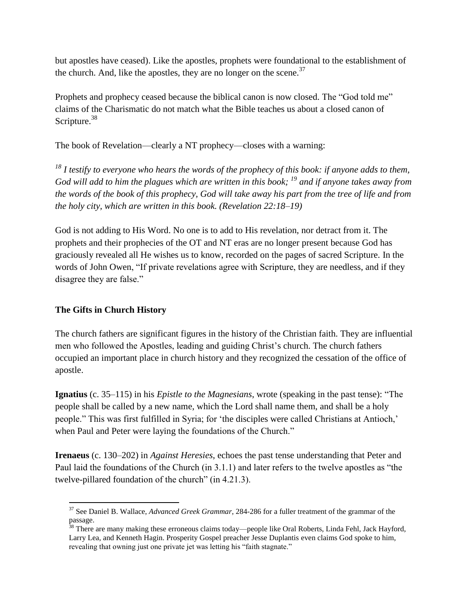but apostles have ceased). Like the apostles, prophets were foundational to the establishment of the church. And, like the apostles, they are no longer on the scene.<sup>37</sup>

Prophets and prophecy ceased because the biblical canon is now closed. The "God told me" claims of the Charismatic do not match what the Bible teaches us about a closed canon of Scripture.<sup>38</sup>

The book of Revelation—clearly a NT prophecy—closes with a warning:

*<sup>18</sup> I testify to everyone who hears the words of the prophecy of this book: if anyone adds to them, God will add to him the plagues which are written in this book; <sup>19</sup> and if anyone takes away from the words of the book of this prophecy, God will take away his part from the tree of life and from the holy city, which are written in this book. (Revelation 22:18–19)*

God is not adding to His Word. No one is to add to His revelation, nor detract from it. The prophets and their prophecies of the OT and NT eras are no longer present because God has graciously revealed all He wishes us to know, recorded on the pages of sacred Scripture. In the words of John Owen, "If private revelations agree with Scripture, they are needless, and if they disagree they are false."

### **The Gifts in Church History**

The church fathers are significant figures in the history of the Christian faith. They are influential men who followed the Apostles, leading and guiding Christ's church. The church fathers occupied an important place in church history and they recognized the cessation of the office of apostle.

**Ignatius** (c. 35–115) in his *Epistle to the Magnesians*, wrote (speaking in the past tense): "The people shall be called by a new name, which the Lord shall name them, and shall be a holy people." This was first fulfilled in Syria; for 'the disciples were called Christians at Antioch,' when Paul and Peter were laying the foundations of the Church."

**Irenaeus** (c. 130–202) in *Against Heresies*, echoes the past tense understanding that Peter and Paul laid the foundations of the Church (in 3.1.1) and later refers to the twelve apostles as "the twelve-pillared foundation of the church" (in 4.21.3).

 $\overline{a}$ <sup>37</sup> See Daniel B. Wallace, *Advanced Greek Grammar*, 284-286 for a fuller treatment of the grammar of the passage.

<sup>&</sup>lt;sup>38</sup> There are many making these erroneous claims today—people like Oral Roberts, Linda Fehl, Jack Hayford, Larry Lea, and Kenneth Hagin. Prosperity Gospel preacher Jesse Duplantis even claims God spoke to him, revealing that owning just one private jet was letting his "faith stagnate."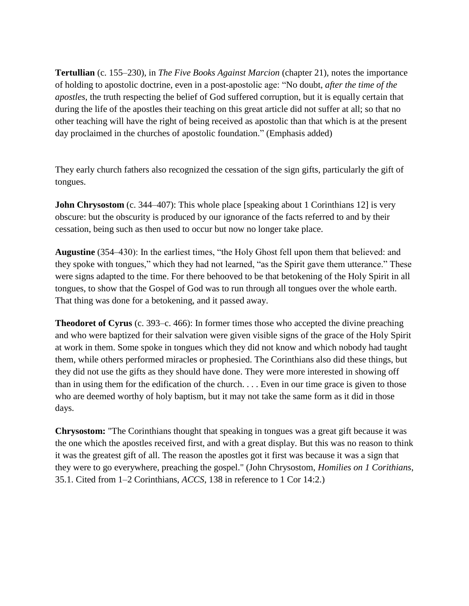**Tertullian** (c. 155–230), in *The Five Books Against Marcion* (chapter 21), notes the importance of holding to apostolic doctrine, even in a post-apostolic age: "No doubt, *after the time of the apostles*, the truth respecting the belief of God suffered corruption, but it is equally certain that during the life of the apostles their teaching on this great article did not suffer at all; so that no other teaching will have the right of being received as apostolic than that which is at the present day proclaimed in the churches of apostolic foundation." (Emphasis added)

They early church fathers also recognized the cessation of the sign gifts, particularly the gift of tongues.

**John Chrysostom** (c. 344–407): This whole place [speaking about 1 Corinthians 12] is very obscure: but the obscurity is produced by our ignorance of the facts referred to and by their cessation, being such as then used to occur but now no longer take place.

**Augustine** (354–430): In the earliest times, "the Holy Ghost fell upon them that believed: and they spoke with tongues," which they had not learned, "as the Spirit gave them utterance." These were signs adapted to the time. For there behooved to be that betokening of the Holy Spirit in all tongues, to show that the Gospel of God was to run through all tongues over the whole earth. That thing was done for a betokening, and it passed away.

**Theodoret of Cyrus** (c. 393–c. 466): In former times those who accepted the divine preaching and who were baptized for their salvation were given visible signs of the grace of the Holy Spirit at work in them. Some spoke in tongues which they did not know and which nobody had taught them, while others performed miracles or prophesied. The Corinthians also did these things, but they did not use the gifts as they should have done. They were more interested in showing off than in using them for the edification of the church. . . . Even in our time grace is given to those who are deemed worthy of holy baptism, but it may not take the same form as it did in those days.

**Chrysostom:** "The Corinthians thought that speaking in tongues was a great gift because it was the one which the apostles received first, and with a great display. But this was no reason to think it was the greatest gift of all. The reason the apostles got it first was because it was a sign that they were to go everywhere, preaching the gospel." (John Chrysostom, *Homilies on 1 Corithians*, 35.1. Cited from 1–2 Corinthians, *ACCS*, 138 in reference to 1 Cor 14:2.)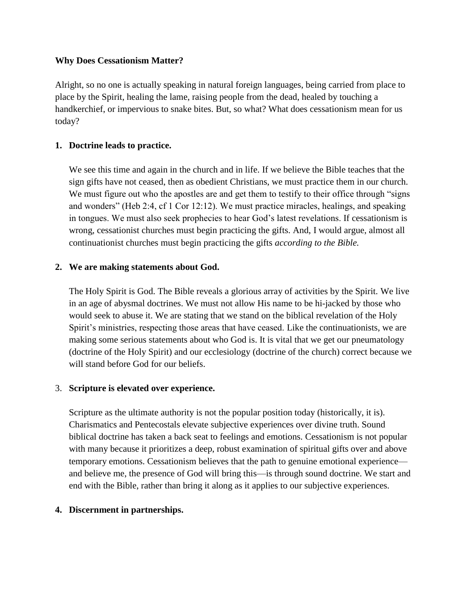#### **Why Does Cessationism Matter?**

Alright, so no one is actually speaking in natural foreign languages, being carried from place to place by the Spirit, healing the lame, raising people from the dead, healed by touching a handkerchief, or impervious to snake bites. But, so what? What does cessationism mean for us today?

### **1. Doctrine leads to practice.**

We see this time and again in the church and in life. If we believe the Bible teaches that the sign gifts have not ceased, then as obedient Christians, we must practice them in our church. We must figure out who the apostles are and get them to testify to their office through "signs" and wonders" (Heb 2:4, cf 1 Cor 12:12). We must practice miracles, healings, and speaking in tongues. We must also seek prophecies to hear God's latest revelations. If cessationism is wrong, cessationist churches must begin practicing the gifts. And, I would argue, almost all continuationist churches must begin practicing the gifts *according to the Bible.*

### **2. We are making statements about God.**

The Holy Spirit is God. The Bible reveals a glorious array of activities by the Spirit. We live in an age of abysmal doctrines. We must not allow His name to be hi-jacked by those who would seek to abuse it. We are stating that we stand on the biblical revelation of the Holy Spirit's ministries, respecting those areas that have ceased. Like the continuationists, we are making some serious statements about who God is. It is vital that we get our pneumatology (doctrine of the Holy Spirit) and our ecclesiology (doctrine of the church) correct because we will stand before God for our beliefs.

### 3. **Scripture is elevated over experience.**

Scripture as the ultimate authority is not the popular position today (historically, it is). Charismatics and Pentecostals elevate subjective experiences over divine truth. Sound biblical doctrine has taken a back seat to feelings and emotions. Cessationism is not popular with many because it prioritizes a deep, robust examination of spiritual gifts over and above temporary emotions. Cessationism believes that the path to genuine emotional experience and believe me, the presence of God will bring this—is through sound doctrine. We start and end with the Bible, rather than bring it along as it applies to our subjective experiences.

### **4. Discernment in partnerships.**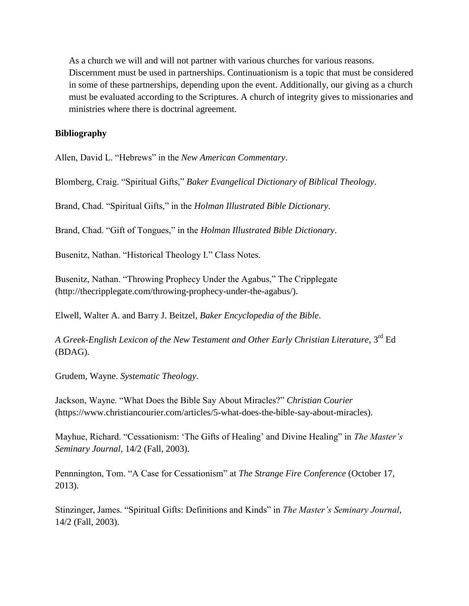As a church we will and will not partner with various churches for various reasons. Discernment must be used in partnerships. Continuationism is a topic that must be considered in some of these partnerships, depending upon the event. Additionally, our giving as a church must be evaluated according to the Scriptures. A church of integrity gives to missionaries and ministries where there is doctrinal agreement.

#### **Bibliography**

Allen, David L. "Hebrews" in the *New American Commentary*.

Blomberg, Craig. "Spiritual Gifts," *Baker Evangelical Dictionary of Biblical Theology*.

Brand, Chad. "Spiritual Gifts," in the *Holman Illustrated Bible Dictionary*.

Brand, Chad. "Gift of Tongues," in the *Holman Illustrated Bible Dictionary*.

Busenitz, Nathan. "Historical Theology I." Class Notes.

Busenitz, Nathan. "Throwing Prophecy Under the Agabus," The Cripplegate (http://thecripplegate.com/throwing-prophecy-under-the-agabus/).

Elwell, Walter A. and Barry J. Beitzel, *Baker Encyclopedia of the Bible*.

*A Greek-English Lexicon of the New Testament and Other Early Christian Literature*, 3rd Ed (BDAG).

Grudem, Wayne. *Systematic Theology*.

Jackson, Wayne. "What Does the Bible Say About Miracles?" *Christian Courier* (https://www.christiancourier.com/articles/5-what-does-the-bible-say-about-miracles).

Mayhue, Richard. "Cessationism: 'The Gifts of Healing' and Divine Healing" in *The Master's Seminary Journal*, 14/2 (Fall, 2003).

Pennnington, Tom. "A Case for Cessationism" at *The Strange Fire Conference* (October 17, 2013).

Stinzinger, James. "Spiritual Gifts: Definitions and Kinds" in *The Master's Seminary Journal*, 14/2 (Fall, 2003).